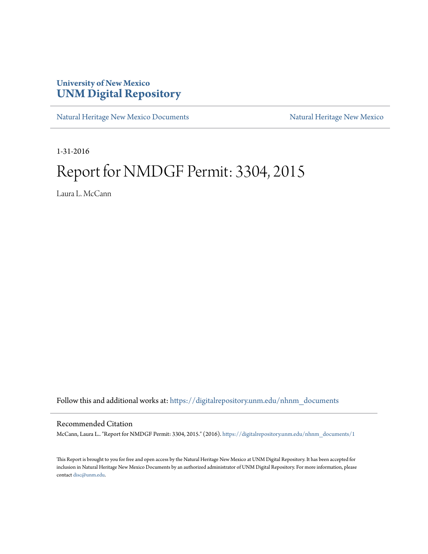### **University of New Mexico [UNM Digital Repository](https://digitalrepository.unm.edu?utm_source=digitalrepository.unm.edu%2Fnhnm_documents%2F1&utm_medium=PDF&utm_campaign=PDFCoverPages)**

[Natural Heritage New Mexico Documents](https://digitalrepository.unm.edu/nhnm_documents?utm_source=digitalrepository.unm.edu%2Fnhnm_documents%2F1&utm_medium=PDF&utm_campaign=PDFCoverPages) [Natural Heritage New Mexico](https://digitalrepository.unm.edu/nhnm?utm_source=digitalrepository.unm.edu%2Fnhnm_documents%2F1&utm_medium=PDF&utm_campaign=PDFCoverPages)

1-31-2016

## Report for NMDGF Permit: 3304, 2015

Laura L. McCann

Follow this and additional works at: [https://digitalrepository.unm.edu/nhnm\\_documents](https://digitalrepository.unm.edu/nhnm_documents?utm_source=digitalrepository.unm.edu%2Fnhnm_documents%2F1&utm_medium=PDF&utm_campaign=PDFCoverPages)

#### Recommended Citation

McCann, Laura L.. "Report for NMDGF Permit: 3304, 2015." (2016). [https://digitalrepository.unm.edu/nhnm\\_documents/1](https://digitalrepository.unm.edu/nhnm_documents/1?utm_source=digitalrepository.unm.edu%2Fnhnm_documents%2F1&utm_medium=PDF&utm_campaign=PDFCoverPages)

This Report is brought to you for free and open access by the Natural Heritage New Mexico at UNM Digital Repository. It has been accepted for inclusion in Natural Heritage New Mexico Documents by an authorized administrator of UNM Digital Repository. For more information, please contact [disc@unm.edu.](mailto:disc@unm.edu)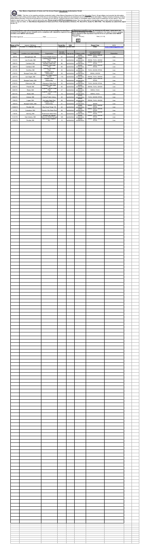# **New Mexico Department of Game and Fish Annual Report Educational Authorization Permit**<br> **Also**

INSTRUCTIONS: This form is for reporting activities conducted under a New Mexico Department of Game and Fish Education Permit. All permittees must provide the information requested in each of the columns below. Use of this form is not mandatory, but any other form of submission must include the same information. Please include an itinerary of future presentations planned. Filing an annual report is a condition of your permit. Continual failure to file a timely or incomplete report could result in suspension of your permit. You must submit a report even if you had no activity during the year. **Please email to DGF.Permits@state.nm.us.** You may also submit a handwritten copy or other communications (be certain to sign and date), to: **New Mexico Department of Game and Fish, Field Operations Division, P.O. Box 25112, Santa Fe, NM 87504. The deadline to submit this report is Jan. 31.**

> **authorization.** [Laura L. McCann] Date [1-31-16]

|                                |                                                    |                                                                                   |                                     |                            | X                                          |                                                               |                                   |  |
|--------------------------------|----------------------------------------------------|-----------------------------------------------------------------------------------|-------------------------------------|----------------------------|--------------------------------------------|---------------------------------------------------------------|-----------------------------------|--|
| Name of Peri<br><b>Address</b> | Laura L. McCann<br>PO Box 111, Peralta, NM 87042   |                                                                                   | Permit No.<br>Telephone 05-866-9999 | 3304                       |                                            | <b>Report Year</b><br>email                                   | 2015<br>laura.nmraptors@yahoo.com |  |
| Date                           |                                                    |                                                                                   | Number                              |                            |                                            | Live species/dead                                             |                                   |  |
| 3/9/15                         | Location (incl. static display)<br>Albuquerque, NM | Organization<br>Truman Middle School                                              | attending<br>57                     | Age group<br>adults/kids   | Subject matter<br>wildlife<br>conservation | specimens used<br>SWHA, TUVU, GHOW,<br>RTHA                   | Disposition<br>Live               |  |
| 3/14/15                        | Las Cruces, NM                                     | Leasburg Dam State<br>Park                                                        | 32                                  | adults/kids                | wildlife<br>conservation<br>wildlife       | SWHA, TUVU, GHOW                                              | Live                              |  |
| 3/28/15<br>3/28/15             | Carlsbad, NM<br>Carlsbad, NM                       | Living Desert Zoo and<br>Gardens State Park<br><b>Brantley Lake State</b><br>Park | 96<br>65                            | adults/kids<br>adults/kids | conservation<br>wildlife<br>conservation   | SWHA, TUVU, GHOW,<br>RTHA<br>SWHA, TUVU, GHOW,<br><b>RTHA</b> | Live<br>Live                      |  |
| 4/11/15                        | Cerrillos, NM                                      | Cerrillos Hills State<br>Park                                                     | 45                                  | adults/kids                | wildlife<br>conservation                   | TUVU, GHOW, RTHA                                              | Live                              |  |
| 4/16/15                        | Bosque Farms, NM                                   | Bosque Farms<br>Elementary<br>West Las Vegas Middle                               | 29                                  | adults/kids                | wildlife<br>conservation<br>wildlife       | SWHA, GHOW                                                    | Live                              |  |
| 4/27/15<br>5/13/15             | Las Vegas, NM<br>Bosque Farms, NM                  | School<br><b>Bosque Farms</b><br>Elementary                                       | 115<br>70                           | adults/kids<br>adults/kids | conservation<br>wildlife<br>conservation   | SWHA, TUVU, GHOW<br>SWHA, TUVU, GHOW,<br><b>RTHA</b>          | Live<br>Live                      |  |
| 5/16/15                        | Villanueva, NM                                     | Villanueva State Park                                                             | 25                                  | adults/kids                | wildlife<br>conservation                   | TUVU, GHOW, RTHA                                              | Live                              |  |
| 5/30/15                        | Prewitt, NM                                        | <b>Bluewater Lake State</b><br>Park                                               | 50                                  | adults/kids                | wildlife<br>conservation<br>wildlife       | SWHA, TUVU, GHOW                                              | Live                              |  |
| 6/20/15                        | Raton, NM                                          | Sugarite Canyon State<br>Park<br>Sugarite Canyon State                            | 47                                  | adults/kids                | conservation<br>wildlife                   | SWHA, TUVU                                                    | Live                              |  |
| 6/21/15<br>6/24/15             | Raton, NM<br>Artesia, NM                           | Park<br>Artesia Public Library                                                    | 14<br>45                            | adults/kids<br>adults/kids | conservation<br>wildlife<br>conservation   | SWHA, TUVU<br>TUVU, GHOW, RTHA                                | Live<br>Live                      |  |
| 7/25/15                        | Logan, NM                                          | Ute Lake State Park                                                               | 26                                  | adults/kids                | wildlife<br>conservation                   | SWHA, TUVU, GHOW                                              | Live                              |  |
| 10/8/15                        | Bosque Farms, NM                                   | <b>Bosque Farms</b><br>Elementary                                                 | 21                                  | adults/kids                | wildlife<br>conservation<br>wildlife       | <b>SWHA</b>                                                   | Live                              |  |
| 10/26/15                       | Peralta, NM                                        | Boy Scout Troop 116                                                               | 42                                  | adults/kids                | conservation<br>wildlife                   | SWHA, TUVU, GHOW,<br>RTHA<br>SWHA, TUVU, GHOW,                | Live                              |  |
| 11/7/15<br>11/8/15             | Columbus, NM<br>Deming, NM                         | Pancho Villa State Park<br>Rockhound State Park                                   | 26<br>33                            | adults/kids<br>adults/kids | conservation<br>wildlife<br>conservation   | SWHA, TUVU, GHOW,<br>RTHA                                     | Live<br>Live                      |  |
| 11/21/15                       | San Antonio, NM                                    | Bosque Del Apache<br>National Wildlife Refuge                                     | 145                                 | adults/kids                | wildlife<br>conservation                   | SWHA, TUVU, GHOW,<br>RTHA                                     | Live                              |  |
| 12/30/15                       | Peralta, NM                                        | New Mexico Raptors,<br>Inc.                                                       | 10                                  | adults/kids                | wildlife<br>conservation                   | SWHA, TUVU, GHOW,<br>RTHA                                     | Live                              |  |
|                                |                                                    |                                                                                   |                                     |                            |                                            |                                                               |                                   |  |
|                                |                                                    |                                                                                   |                                     |                            |                                            |                                                               |                                   |  |
|                                |                                                    |                                                                                   |                                     |                            |                                            |                                                               |                                   |  |
|                                |                                                    |                                                                                   |                                     |                            |                                            |                                                               |                                   |  |
|                                |                                                    |                                                                                   |                                     |                            |                                            |                                                               |                                   |  |
|                                |                                                    |                                                                                   |                                     |                            |                                            |                                                               |                                   |  |
|                                |                                                    |                                                                                   |                                     |                            |                                            |                                                               |                                   |  |
|                                |                                                    |                                                                                   |                                     |                            |                                            |                                                               |                                   |  |
|                                |                                                    |                                                                                   |                                     |                            |                                            |                                                               |                                   |  |
|                                |                                                    |                                                                                   |                                     |                            |                                            |                                                               |                                   |  |
|                                |                                                    |                                                                                   |                                     |                            |                                            |                                                               |                                   |  |
|                                |                                                    |                                                                                   |                                     |                            |                                            |                                                               |                                   |  |
|                                |                                                    |                                                                                   |                                     |                            |                                            |                                                               |                                   |  |
|                                |                                                    |                                                                                   |                                     |                            |                                            |                                                               |                                   |  |
|                                |                                                    |                                                                                   |                                     |                            |                                            |                                                               |                                   |  |
|                                |                                                    |                                                                                   |                                     |                            |                                            |                                                               |                                   |  |
|                                |                                                    |                                                                                   |                                     |                            |                                            |                                                               |                                   |  |
|                                |                                                    |                                                                                   |                                     |                            |                                            |                                                               |                                   |  |
|                                |                                                    |                                                                                   |                                     |                            |                                            |                                                               |                                   |  |
|                                |                                                    |                                                                                   |                                     |                            |                                            |                                                               |                                   |  |
|                                |                                                    |                                                                                   |                                     |                            |                                            |                                                               |                                   |  |
|                                |                                                    |                                                                                   |                                     |                            |                                            |                                                               |                                   |  |
|                                |                                                    |                                                                                   |                                     |                            |                                            |                                                               |                                   |  |
|                                |                                                    |                                                                                   |                                     |                            |                                            |                                                               |                                   |  |
|                                |                                                    |                                                                                   |                                     |                            |                                            |                                                               |                                   |  |
|                                |                                                    |                                                                                   |                                     |                            |                                            |                                                               |                                   |  |
|                                |                                                    |                                                                                   |                                     |                            |                                            |                                                               |                                   |  |
|                                |                                                    |                                                                                   |                                     |                            |                                            |                                                               |                                   |  |
|                                |                                                    |                                                                                   |                                     |                            |                                            |                                                               |                                   |  |
|                                |                                                    |                                                                                   |                                     |                            |                                            |                                                               |                                   |  |
|                                |                                                    |                                                                                   |                                     |                            |                                            |                                                               |                                   |  |
|                                |                                                    |                                                                                   |                                     |                            |                                            |                                                               |                                   |  |
|                                |                                                    |                                                                                   |                                     |                            |                                            |                                                               |                                   |  |
|                                |                                                    |                                                                                   |                                     |                            |                                            |                                                               |                                   |  |
|                                |                                                    |                                                                                   |                                     |                            |                                            |                                                               |                                   |  |
|                                |                                                    |                                                                                   |                                     |                            |                                            |                                                               |                                   |  |
|                                |                                                    |                                                                                   |                                     |                            |                                            |                                                               |                                   |  |
|                                |                                                    |                                                                                   |                                     |                            |                                            |                                                               |                                   |  |
|                                |                                                    |                                                                                   |                                     |                            |                                            |                                                               |                                   |  |
|                                |                                                    |                                                                                   |                                     |                            |                                            |                                                               |                                   |  |
|                                |                                                    |                                                                                   |                                     |                            |                                            |                                                               |                                   |  |
|                                |                                                    |                                                                                   |                                     |                            |                                            |                                                               |                                   |  |
|                                |                                                    |                                                                                   |                                     |                            |                                            |                                                               |                                   |  |
|                                |                                                    |                                                                                   |                                     |                            |                                            |                                                               |                                   |  |
|                                |                                                    |                                                                                   |                                     |                            |                                            |                                                               |                                   |  |
|                                |                                                    |                                                                                   |                                     |                            |                                            |                                                               |                                   |  |
|                                |                                                    |                                                                                   |                                     |                            |                                            |                                                               |                                   |  |
|                                |                                                    |                                                                                   |                                     |                            |                                            |                                                               |                                   |  |
|                                |                                                    |                                                                                   |                                     |                            |                                            |                                                               |                                   |  |
|                                |                                                    |                                                                                   |                                     |                            |                                            |                                                               |                                   |  |
|                                |                                                    |                                                                                   |                                     |                            |                                            |                                                               |                                   |  |
|                                |                                                    |                                                                                   |                                     |                            |                                            |                                                               |                                   |  |
|                                |                                                    |                                                                                   |                                     |                            |                                            |                                                               |                                   |  |
|                                |                                                    |                                                                                   |                                     |                            |                                            |                                                               |                                   |  |
|                                |                                                    |                                                                                   |                                     |                            |                                            |                                                               |                                   |  |
|                                |                                                    |                                                                                   |                                     |                            |                                            |                                                               |                                   |  |
|                                |                                                    |                                                                                   |                                     |                            |                                            |                                                               |                                   |  |
|                                |                                                    |                                                                                   |                                     |                            |                                            |                                                               |                                   |  |
|                                |                                                    |                                                                                   |                                     |                            |                                            |                                                               |                                   |  |
|                                |                                                    |                                                                                   |                                     |                            |                                            |                                                               |                                   |  |
|                                |                                                    |                                                                                   |                                     |                            |                                            |                                                               |                                   |  |
|                                |                                                    |                                                                                   |                                     |                            |                                            |                                                               |                                   |  |
|                                |                                                    |                                                                                   |                                     |                            |                                            |                                                               |                                   |  |
|                                |                                                    |                                                                                   |                                     |                            |                                            |                                                               |                                   |  |
|                                |                                                    |                                                                                   |                                     |                            |                                            |                                                               |                                   |  |
|                                |                                                    |                                                                                   |                                     |                            |                                            |                                                               |                                   |  |
|                                |                                                    |                                                                                   |                                     |                            |                                            |                                                               |                                   |  |
|                                |                                                    |                                                                                   |                                     |                            |                                            |                                                               |                                   |  |
|                                |                                                    |                                                                                   |                                     |                            |                                            |                                                               |                                   |  |
|                                |                                                    |                                                                                   |                                     |                            |                                            |                                                               |                                   |  |
|                                |                                                    |                                                                                   |                                     |                            |                                            |                                                               |                                   |  |
|                                |                                                    |                                                                                   |                                     |                            |                                            |                                                               |                                   |  |
|                                |                                                    |                                                                                   |                                     |                            |                                            |                                                               |                                   |  |
|                                |                                                    |                                                                                   |                                     |                            |                                            |                                                               |                                   |  |
|                                |                                                    |                                                                                   |                                     |                            |                                            |                                                               |                                   |  |
|                                |                                                    |                                                                                   |                                     |                            |                                            |                                                               |                                   |  |
|                                |                                                    |                                                                                   |                                     |                            |                                            |                                                               |                                   |  |
|                                |                                                    |                                                                                   |                                     |                            |                                            |                                                               |                                   |  |
|                                |                                                    |                                                                                   |                                     |                            |                                            |                                                               |                                   |  |
|                                |                                                    |                                                                                   |                                     |                            |                                            |                                                               |                                   |  |
|                                |                                                    |                                                                                   |                                     |                            |                                            |                                                               |                                   |  |
|                                |                                                    |                                                                                   |                                     |                            |                                            |                                                               |                                   |  |
|                                |                                                    |                                                                                   |                                     |                            |                                            |                                                               |                                   |  |
|                                |                                                    |                                                                                   |                                     |                            |                                            |                                                               |                                   |  |
|                                |                                                    |                                                                                   |                                     |                            |                                            |                                                               |                                   |  |
|                                |                                                    |                                                                                   |                                     |                            |                                            |                                                               |                                   |  |
|                                |                                                    |                                                                                   |                                     |                            |                                            |                                                               |                                   |  |
|                                |                                                    |                                                                                   |                                     |                            |                                            |                                                               |                                   |  |
|                                |                                                    |                                                                                   |                                     |                            |                                            |                                                               |                                   |  |
|                                |                                                    |                                                                                   |                                     |                            |                                            |                                                               |                                   |  |
|                                |                                                    |                                                                                   |                                     |                            |                                            |                                                               |                                   |  |
|                                |                                                    |                                                                                   |                                     |                            |                                            |                                                               |                                   |  |
|                                |                                                    |                                                                                   |                                     |                            |                                            |                                                               |                                   |  |
|                                |                                                    |                                                                                   |                                     |                            |                                            |                                                               |                                   |  |
|                                |                                                    |                                                                                   |                                     |                            |                                            |                                                               |                                   |  |
|                                |                                                    |                                                                                   |                                     |                            |                                            |                                                               |                                   |  |
|                                |                                                    |                                                                                   |                                     |                            |                                            |                                                               |                                   |  |
|                                |                                                    |                                                                                   |                                     |                            |                                            |                                                               |                                   |  |
|                                |                                                    |                                                                                   |                                     |                            |                                            |                                                               |                                   |  |
|                                |                                                    |                                                                                   |                                     |                            |                                            |                                                               |                                   |  |
|                                |                                                    |                                                                                   |                                     |                            |                                            |                                                               |                                   |  |

**If submitting a paper copy with original signature: To the best of my knowledge, the information**  contained in this report is correct, complete, and in compliance with stipulations required of me as **be permittee under NMDGF Authorization.** *If submitting an electronic copy:* **By checking the box below, I agree that to the best of my knowledge, the information contained in this report is correct, complete and in compliance with stipulations required of me as a permittee under NMDGF** 

> $\blacksquare$  $\overline{\phantom{0}}$

| Permittee signature | Date |  |
|---------------------|------|--|
|                     |      |  |